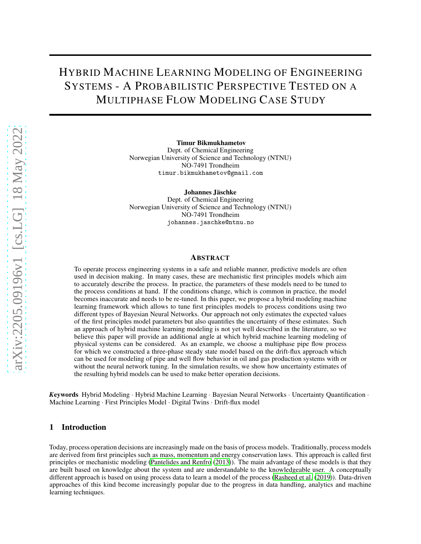# HYBRID MACHINE LEARNING MODELING OF ENGINEERING SYSTEMS - A PROBABILISTIC PERSPECTIVE TESTED ON A MULTIPHASE FLOW MODELING CASE STUDY

Timur Bikmukhametov

Dept. of Chemical Engineering Norwegian University of Science and Technology (NTNU) NO-7491 Trondheim timur.bikmukhametov@gmail.com

Johannes Jäschke

Dept. of Chemical Engineering Norwegian University of Science and Technology (NTNU) NO-7491 Trondheim johannes.jaschke@ntnu.no

## ABSTRACT

To operate process engineering systems in a safe and reliable manner, predictive models are often used in decision making. In many cases, these are mechanistic first principles models which aim to accurately describe the process. In practice, the parameters of these models need to be tuned to the process conditions at hand. If the conditions change, which is common in practice, the model becomes inaccurate and needs to be re-tuned. In this paper, we propose a hybrid modeling machine learning framework which allows to tune first principles models to process conditions using two different types of Bayesian Neural Networks. Our approach not only estimates the expected values of the first principles model parameters but also quantifies the uncertainty of these estimates. Such an approach of hybrid machine learning modeling is not yet well described in the literature, so we believe this paper will provide an additional angle at which hybrid machine learning modeling of physical systems can be considered. As an example, we choose a multiphase pipe flow process for which we constructed a three-phase steady state model based on the drift-flux approach which can be used for modeling of pipe and well flow behavior in oil and gas production systems with or without the neural network tuning. In the simulation results, we show how uncertainty estimates of the resulting hybrid models can be used to make better operation decisions.

*<sup>K</sup>*eywords Hybrid Modeling · Hybrid Machine Learning · Bayesian Neural Networks · Uncertainty Quantification · Machine Learning · First Principles Model · Digital Twins · Drift-flux model

## 1 Introduction

Today, process operation decisions are increasingly made on the basis of process models. Traditionally, process models are derived from first principles such as mass, momentum and energy conservation laws. This approach is called first principles or mechanistic modeling [\(Pantelides and Renfro](#page-18-0) [\(2013](#page-18-0))). The main advantage of these models is that they are built based on knowledge about the system and are understandable to the knowledgeable user. A conceptually different approach is based on using process data to learn a model of the process [\(Rasheed et al.](#page-18-1) [\(2019\)](#page-18-1)). Data-driven approaches of this kind become increasingly popular due to the progress in data handling, analytics and machine learning techniques.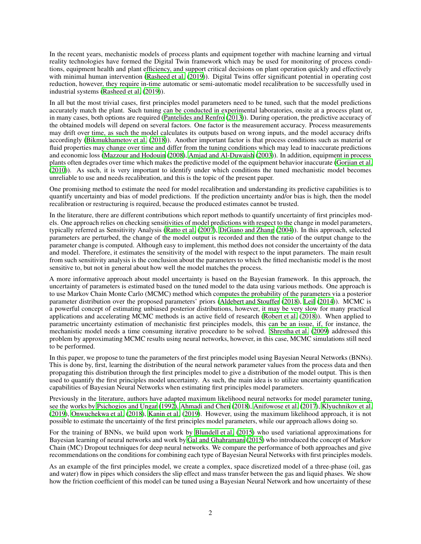In the recent years, mechanistic models of process plants and equipment together with machine learning and virtual reality technologies have formed the Digital Twin framework which may be used for monitoring of process conditions, equipment health and plant efficiency, and support critical decisions on plant operation quickly and effectively with minimal human intervention [\(Rasheed et al.](#page-18-1) [\(2019\)](#page-18-1)). Digital Twins offer significant potential in operating cost reduction, however, they require in-time automatic or semi-automatic model recalibration to be successfully used in industrial systems [\(Rasheed et al. \(2019\)](#page-18-1)).

In all but the most trivial cases, first principles model parameters need to be tuned, such that the model predictions accurately match the plant. Such tuning can be conducted in experimental laboratories, onsite at a process plant or, in many cases, both options are required [\(Pantelides and Renfro \(2013\)](#page-18-0)). During operation, the predictive accuracy of the obtained models will depend on several factors. One factor is the measurement accuracy. Process measurements may drift over time, as such the model calculates its outputs based on wrong inputs, and the model accuracy drifts accordingly [\(Bikmukhametov et al. \(2018](#page-17-0))). Another important factor is that process conditions such as material or fluid properties may change over time and differ from the tuning conditions which may lead to inaccurate predictions and economic loss [\(Mazzour and Hodouin \(2008\)](#page-18-2), [Amjad and Al-Duwaish \(2003\)](#page-17-1)). In addition, equipment in process plants often degrades over time which makes the predictive model of the equipment behavior inaccurate [\(Gorjian et al.](#page-18-3) [\(2010\)](#page-18-3)). As such, it is very important to identify under which conditions the tuned mechanistic model becomes unreliable to use and needs recalibration, and this is the topic of the present paper.

One promising method to estimate the need for model recalibration and understanding its predictive capabilities is to quantify uncertainty and bias of model predictions. If the prediction uncertainty and/or bias is high, then the model recalibration or restructuring is required, because the produced estimates cannot be trusted.

In the literature, there are different contributions which report methods to quantify uncertainty of first principles models. One approach relies on checking sensitivities of model predictions with respect to the change in model parameters, typically referred as Sensitivity Analysis [\(Ratto et al. \(2007\)](#page-18-4), [DiGiano and Zhang](#page-18-5) [\(2004\)](#page-18-5)). In this approach, selected parameters are perturbed, the change of the model output is recorded and then the ratio of the output change to the parameter change is computed. Although easy to implement, this method does not consider the uncertainty of the data and model. Therefore, it estimates the sensitivity of the model with respect to the input parameters. The main result from such sensitivity analysis is the conclusion about the parameters to which the fitted mechanistic model is the most sensitive to, but not in general about how well the model matches the process.

A more informative approach about model uncertainty is based on the Bayesian framework. In this approach, the uncertainty of parameters is estimated based on the tuned model to the data using various methods. One approach is to use Markov Chain Monte Carlo (MCMC) method which computes the probability of the parameters via a posterior parameter distribution over the proposed parameters' priors [\(Aldebert and Stouffer \(2018\)](#page-17-2), [Leil](#page-18-6) [\(2014\)](#page-18-6)). MCMC is a powerful concept of estimating unbiased posterior distributions, however, it may be very slow for many practical applications and accelerating MCMC methods is an active field of research [\(Robert et al. \(2018\)](#page-18-7)). When applied to parametric uncertainty estimation of mechanistic first principles models, this can be an issue, if, for instance, the mechanistic model needs a time consuming iterative procedure to be solved. [Shrestha et al. \(2009\)](#page-19-0) addressed this problem by approximating MCMC results using neural networks, however, in this case, MCMC simulations still need to be performed.

In this paper, we propose to tune the parameters of the first principles model using Bayesian Neural Networks (BNNs). This is done by, first, learning the distribution of the neural network parameter values from the process data and then propagating this distribution through the first principles model to give a distribution of the model output. This is then used to quantify the first principles model uncertainty. As such, the main idea is to utilize uncertainty quantification capabilities of Bayesian Neural Networks when estimating first principles model parameters.

Previously in the literature, authors have adapted maximum likelihood neural networks for model parameter tuning, see the works by [Psichogios and Ungar \(1992](#page-18-8)), [Ahmadi and Chen](#page-17-3) [\(2018\)](#page-17-3), [Anifowose et al. \(2017\)](#page-17-4), [Klyuchnikov et al.](#page-18-9) [\(2019\)](#page-18-9), [Onwuchekwa et al.](#page-18-10) [\(2018\)](#page-18-10), [Kanin et al. \(2019\)](#page-18-11). However, using the maximum likelihood approach, it is not possible to estimate the uncertainty of the first principles model parameters, while our approach allows doing so.

For the training of BNNs, we build upon work by [Blundell et al.](#page-17-5) [\(2015](#page-17-5)) who used variational approximations for Bayesian learning of neural networks and work by [Gal and Ghahramani \(2015\)](#page-18-12) who introduced the concept of Markov Chain (MC) Dropout techniques for deep neural networks. We compare the performance of both approaches and give recommendations on the conditions for combining each type of Bayesian Neural Networks with first principles models.

As an example of the first principles model, we create a complex, space discretized model of a three-phase (oil, gas and water) flow in pipes which considers the slip effect and mass transfer between the gas and liquid phases. We show how the friction coefficient of this model can be tuned using a Bayesian Neural Network and how uncertainty of these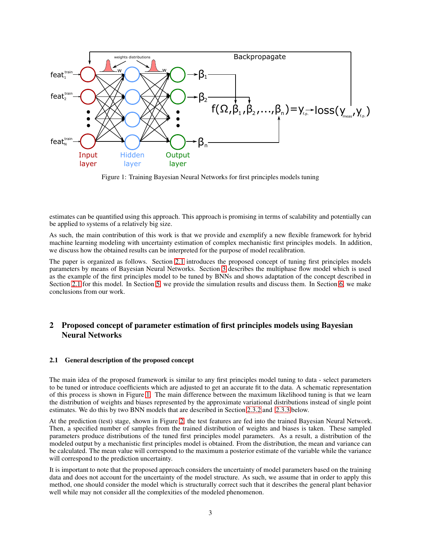<span id="page-2-0"></span>

Figure 1: Training Bayesian Neural Networks for first principles models tuning

estimates can be quantified using this approach. This approach is promising in terms of scalability and potentially can be applied to systems of a relatively big size.

As such, the main contribution of this work is that we provide and exemplify a new flexible framework for hybrid machine learning modeling with uncertainty estimation of complex mechanistic first principles models. In addition, we discuss how the obtained results can be interpreted for the purpose of model recalibration.

The paper is organized as follows. Section [2.1](#page-3-0) introduces the proposed concept of tuning first principles models parameters by means of Bayesian Neural Networks. Section [3](#page-5-0) describes the multiphase flow model which is used as the example of the first principles model to be tuned by BNNs and shows adaptation of the concept described in Section [2.1](#page-3-0) for this model. In Section [5,](#page-12-0) we provide the simulation results and discuss them. In Section [6,](#page-16-0) we make conclusions from our work.

## 2 Proposed concept of parameter estimation of first principles models using Bayesian Neural Networks

## 2.1 General description of the proposed concept

The main idea of the proposed framework is similar to any first principles model tuning to data - select parameters to be tuned or introduce coefficients which are adjusted to get an accurate fit to the data. A schematic representation of this process is shown in Figure [1.](#page-2-0) The main difference between the maximum likelihood tuning is that we learn the distribution of weights and biases represented by the approximate variational distributions instead of single point estimates. We do this by two BNN models that are described in Section [2.3.2](#page-4-0) and [2.3.3](#page-4-1) below.

At the prediction (test) stage, shown in Figure [2,](#page-3-0) the test features are fed into the trained Bayesian Neural Network. Then, a specified number of samples from the trained distribution of weights and biases is taken. These sampled parameters produce distributions of the tuned first principles model parameters. As a result, a distribution of the modeled output by a mechanistic first principles model is obtained. From the distribution, the mean and variance can be calculated. The mean value will correspond to the maximum a posterior estimate of the variable while the variance will correspond to the prediction uncertainty.

It is important to note that the proposed approach considers the uncertainty of model parameters based on the training data and does not account for the uncertainty of the model structure. As such, we assume that in order to apply this method, one should consider the model which is structurally correct such that it describes the general plant behavior well while may not consider all the complexities of the modeled phenomenon.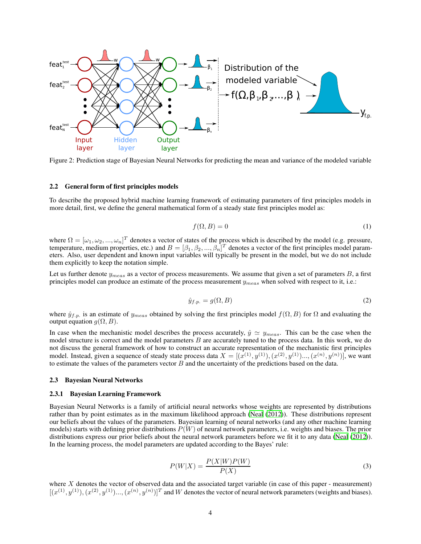<span id="page-3-0"></span>

Figure 2: Prediction stage of Bayesian Neural Networks for predicting the mean and variance of the modeled variable

### 2.2 General form of first principles models

To describe the proposed hybrid machine learning framework of estimating parameters of first principles models in more detail, first, we define the general mathematical form of a steady state first principles model as:

$$
f(\Omega, B) = 0\tag{1}
$$

where  $\Omega = [\omega_1, \omega_2, ..., \omega_n]^T$  denotes a vector of states of the process which is described by the model (e.g. pressure, temperature, medium properties, etc.) and  $B = [\beta_1, \beta_2, ..., \beta_n]^T$  denotes a vector of the first principles model parameters. Also, user dependent and known input variables will typically be present in the model, but we do not include them explicitly to keep the notation simple.

Let us further denote  $y_{meas}$  as a vector of process measurements. We assume that given a set of parameters  $B$ , a first principles model can produce an estimate of the process measurement  $y_{meas}$  when solved with respect to it, i.e.:

$$
\hat{y}_{f.p.} = g(\Omega, B) \tag{2}
$$

where  $\hat{y}_{f.p.}$  is an estimate of  $y_{meas}$  obtained by solving the first principles model  $f(\Omega, B)$  for  $\Omega$  and evaluating the output equation  $q(\Omega, B)$ .

In case when the mechanistic model describes the process accurately,  $\hat{y} \simeq y_{meas}$ . This can be the case when the model structure is correct and the model parameters B are accurately tuned to the process data. In this work, we do not discuss the general framework of how to construct an accurate representation of the mechanistic first principles model. Instead, given a sequence of steady state process data  $X = [(x^{(1)}, y^{(1)}), (x^{(2)}, y^{(1)})..., (x^{(n)}, y^{(n)})]$ , we want to estimate the values of the parameters vector  $B$  and the uncertainty of the predictions based on the data.

### 2.3 Bayesian Neural Networks

#### 2.3.1 Bayesian Learning Framework

Bayesian Neural Networks is a family of artificial neural networks whose weights are represented by distributions rather than by point estimates as in the maximum likelihood approach [\(Neal \(2012\)](#page-18-13)). These distributions represent our beliefs about the values of the parameters. Bayesian learning of neural networks (and any other machine learning models) starts with defining prior distributions  $P(W)$  of neural network parameters, i.e. weights and biases. The prior distributions express our prior beliefs about the neural network parameters before we fit it to any data [\(Neal](#page-18-13) [\(2012\)](#page-18-13)). In the learning process, the model parameters are updated according to the Bayes' rule:

$$
P(W|X) = \frac{P(X|W)P(W)}{P(X)}
$$
\n(3)

<span id="page-3-1"></span>where  $X$  denotes the vector of observed data and the associated target variable (in case of this paper - measurement)  $[(x^{(1)}, y^{(1)}), (x^{(2)}, y^{(1)})..., (x^{(n)}, y^{(n)})]^T$  and W denotes the vector of neural network parameters (weights and biases).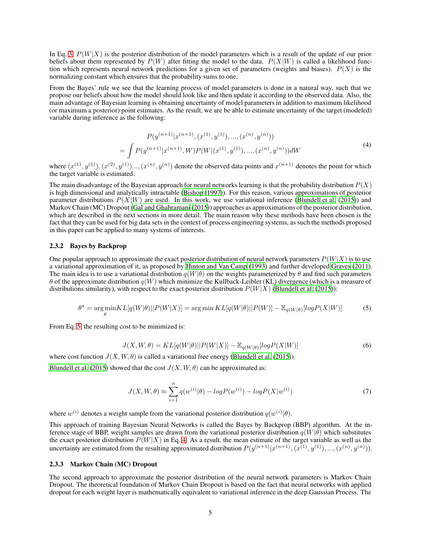In Eq. [3,](#page-3-1)  $P(W|X)$  is the posterior distribution of the model parameters which is a result of the update of our prior beliefs about them represented by  $P(W)$  after fitting the model to the data.  $P(X|W)$  is called a likelihood function which represents neural network predictions for a given set of parameters (weights and biases).  $P(X)$  is the normalizing constant which ensures that the probability sums to one.

<span id="page-4-3"></span>From the Bayes' rule we see that the learning process of model parameters is done in a natural way, such that we propose our beliefs about how the model should look like and then update it according to the observed data. Also, the main advantage of Bayesian learning is obtaining uncertainty of model parameters in addition to maximum likelihood (or maximum a posterior) point estimates. As the result, we are be able to estimate uncertainty of the target (modeled) variable during inference as the following:

$$
P(y^{(n+1)}|x^{(n+1)}, (x^{(1)}, y^{(1)}), ..., (x^{(n)}, y^{(n)}))
$$
  
= 
$$
\int P(y^{(n+1)}|x^{(n+1)}, W)P(W|(x^{(1)}, y^{(1)}), ..., (x^{(n)}, y^{(n)}))dW
$$
 (4)

where  $(x^{(1)}, y^{(1)}), (x^{(2)}, y^{(1)})...,(x^{(n)}, y^{(n)})$  denote the observed data points and  $x^{(n+1)}$  denotes the point for which the target variable is estimated.

The main disadvantage of the Bayesian approach for neural networks learning is that the probability distribution  $P(X)$ is high dimensional and analytically intractable [\(Bishop \(1997\)](#page-17-6)). For this reason, various approximations of posterior parameter distributions  $P(X|W)$  are used. In this work, we use variational inference [\(Blundell et al. \(2015\)](#page-17-5)) and Markov Chain (MC) Dropout [\(Gal and Ghahramani \(2015\)](#page-18-12)) approaches as approximations of the posterior distribution, which are described in the next sections in more detail. The main reason why these methods have been chosen is the fact that they can be used for big data sets in the context of process engineering systems, as such the methods proposed in this paper can be applied to many systems of interests.

### <span id="page-4-0"></span>2.3.2 Bayes by Backprop

<span id="page-4-2"></span>One popular approach to approximate the exact posterior distribution of neural network parameters  $P(W|X)$  is to use a variational approximation of it, as proposed by [Hinton and](#page-18-14) Van Camp [\(1993\)](#page-18-14) and further developed [Graves \(2011\)](#page-18-15). The main idea is to use a variational distribution  $q(W|\theta)$  on the weights parameterized by  $\theta$  and find such parameters  $\theta$  of the approximate distribution  $q(W)$  which minimize the Kullback-Leibler (KL) divergence (which is a measure of distributions similarity), with respect to the exact posterior distribution  $P(W|X)$  [\(Blundell et al. \(2015\)](#page-17-5)):

$$
\theta^* = \underset{\theta}{\arg\min} KL[q(W|\theta)||P(W|X)] = \underset{\theta}{\arg\min} KL[q(W|\theta)||P(W)] - \mathbb{E}_{q(W|\theta)}[logP(X|W)] \tag{5}
$$

From Eq. [5,](#page-4-2) the resulting cost to be minimized is:

$$
J(X, W, \theta) = KL[q(W|\theta)||P(W|X)] - \mathbb{E}_{q(W|\theta)}[logP(X|W)]
$$
\n(6)

where cost function  $J(X, W, \theta)$  is called a variational free energy [\(Blundell et al.](#page-17-5) [\(2015\)](#page-17-5)).

<span id="page-4-4"></span>[Blundell et al. \(2015\)](#page-17-5) showed that the cost  $J(X, W, \theta)$  can be approximated as:

$$
J(X, W, \theta) \approx \sum_{i=1}^{n} q(w^{(i)} | \theta) - logP(w^{(i)}) - logP(X | w^{(i)})
$$
\n(7)

where  $w^{(i)}$  denotes a weight sample from the variational posterior distribution  $q(w^{(i)}|\theta)$ .

This approach of training Bayesian Neural Networks is called the Bayes by Backprop (BBP) algorithm. At the inference stage of BBP, weight samples are drawn from the variational posterior distribution  $q(W|\theta)$  which substitutes the exact posterior distribution  $P(W|X)$  in Eq. [4.](#page-4-3) As a result, the mean estimate of the target variable as well as the uncertainty are estimated from the resulting approximated distribution  $P(y^{(n+1)}|x^{(n+1)}, (x^{(1)}, y^{(1)}), ..., (x^{(n)}, y^{(n)})).$ 

## <span id="page-4-1"></span>2.3.3 Markov Chain (MC) Dropout

The second approach to approximate the posterior distribution of the neural network parameters is Markov Chain Dropout. The theoretical foundation of Markov Chain Dropout is based on the fact that neural networks with applied dropout for each weight layer is mathematically equivalent to variational inference in the deep Gaussian Process. The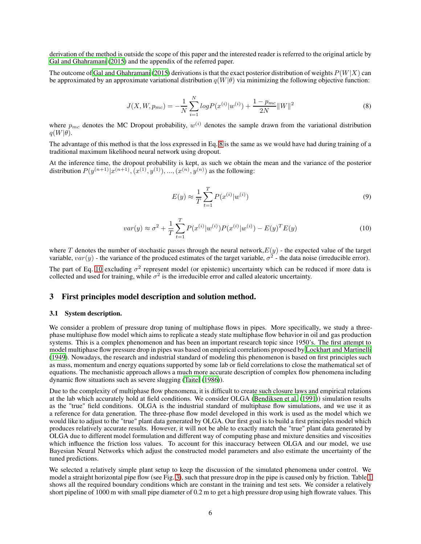derivation of the method is outside the scope of this paper and the interested reader is referred to the original article by [Gal and Ghahramani](#page-18-12) [\(2015\)](#page-18-12) and the appendix of the referred paper.

<span id="page-5-1"></span>The outcome of [Gal and Ghahramani \(2015\)](#page-18-12) derivations is that the exact posterior distribution of weights  $P(W|X)$  can be approximated by an approximate variational distribution  $q(W|\theta)$  via minimizing the following objective function:

$$
J(X, W, p_{mc}) = -\frac{1}{N} \sum_{i=1}^{N} log P(x^{(i)} | w^{(i)}) + \frac{1 - p_{mc}}{2N} ||W||^2
$$
\n(8)

where  $p_{mc}$  denotes the MC Dropout probability,  $w^{(i)}$  denotes the sample drawn from the variational distribution  $q(W|\theta)$ .

The advantage of this method is that the loss expressed in Eq. [8](#page-5-1) is the same as we would have had during training of a traditional maximum likelihood neural network using dropout.

At the inference time, the dropout probability is kept, as such we obtain the mean and the variance of the posterior distribution  $P(y^{(n+1)}|x^{(n+1)}, (x^{(1)}, y^{(1)}), ..., (x^{(n)}, y^{(n)})$  as the following:

$$
E(y) \approx \frac{1}{T} \sum_{t=1}^{T} P(x^{(i)} | w^{(i)})
$$
\n(9)

$$
var(y) \approx \sigma^2 + \frac{1}{T} \sum_{t=1}^{T} P(x^{(i)} | w^{(i)}) P(x^{(i)} | w^{(i)}) - E(y)^T E(y)
$$
\n(10)

<span id="page-5-2"></span>where T denotes the number of stochastic passes through the neural network,  $E(y)$  - the expected value of the target variable,  $var(y)$  - the variance of the produced estimates of the target variable,  $\sigma^2$  - the data noise (irreducible error).

The part of Eq. [10](#page-5-2) excluding  $\sigma^2$  represent model (or epistemic) uncertainty which can be reduced if more data is collected and used for training, while  $\sigma^2$  is the irreducible error and called aleatoric uncertainty.

## <span id="page-5-0"></span>3 First principles model description and solution method.

### 3.1 System description.

We consider a problem of pressure drop tuning of multiphase flows in pipes. More specifically, we study a threephase multiphase flow model which aims to replicate a steady state multiphase flow behavior in oil and gas production systems. This is a complex phenomenon and has been an important research topic since 1950's. The first attempt to model multiphase flow pressure drop in pipes was based on empirical correlations proposed by [Lockhart and Martinelli](#page-18-16) [\(1949\)](#page-18-16). Nowadays, the research and industrial standard of modeling this phenomenon is based on first principles such as mass, momentum and energy equations supported by some lab or field correlations to close the mathematical set of equations. The mechanistic approach allows a much more accurate description of complex flow phenomena including dynamic flow situations such as severe slugging [\(Taitel \(1986\)](#page-19-1)).

Due to the complexity of multiphase flow phenomena, it is difficult to create such closure laws and empirical relations at the lab which accurately hold at field conditions. We consider OLGA [\(Bendiksen et al.](#page-17-7) [\(1991\)](#page-17-7)) simulation results as the "true" field conditions. OLGA is the industrial standard of multiphase flow simulations, and we use it as a reference for data generation. The three-phase flow model developed in this work is used as the model which we would like to adjust to the "true" plant data generated by OLGA. Our first goal is to build a first principles model which produces relatively accurate results. However, it will not be able to exactly match the "true" plant data generated by OLGA due to different model formulation and different way of computing phase and mixture densities and viscosities which influence the friction loss values. To account for this inaccuracy between OLGA and our model, we use Bayesian Neural Networks which adjust the constructed model parameters and also estimate the uncertainty of the tuned predictions.

We selected a relatively simple plant setup to keep the discussion of the simulated phenomena under control. We model a straight horizontal pipe flow (see Fig. [3\)](#page-6-0), such that pressure drop in the pipe is caused only by friction. Table [1](#page-6-1) shows all the required boundary conditions which are constant in the training and test sets. We consider a relatively short pipeline of 1000 m with small pipe diameter of 0.2 m to get a high pressure drop using high flowrate values. This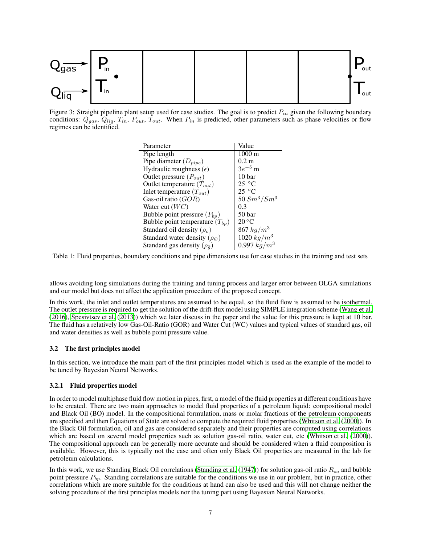<span id="page-6-0"></span>

<span id="page-6-1"></span>Figure 3: Straight pipeline plant setup used for case studies. The goal is to predict  $P_{in}$  given the following boundary conditions:  $Q_{gas}$ ,  $Q_{liq}$ ,  $T_{in}$ ,  $P_{out}$ ,  $T_{out}$ . When  $P_{in}$  is predicted, other parameters such as phase velocities or flow regimes can be identified.

| Parameter                                   | Value             |
|---------------------------------------------|-------------------|
| Pipe length                                 | $1000 \text{ m}$  |
| Pipe diameter $(D_{pipe})$                  | $0.2 \text{ m}$   |
| Hydraulic roughness $(\epsilon)$            | $3e^{-5}$ m       |
| Outlet pressure $(P_{out})$                 | 10 bar            |
| Outlet temperature $(T_{out})$              | 25 °C             |
| Inlet temperature $(T_{out})$               | $25^{\circ}$ C    |
| Gas-oil ratio $(GOR)$                       | 50 $Sm^3/Sm^3$    |
| Water cut $(WC)$                            | 0.3               |
| Bubble point pressure $(P_{bp})$            | 50 <sub>bar</sub> |
| Bubble point temperature $(T_{bp})$         | $20^{\circ}$ C    |
| Standard oil density ( $\rho_{\bar{o}}$ )   | 867 $kg/m^3$      |
| Standard water density ( $\rho_{\bar{w}}$ ) | 1020 $kg/m^3$     |
| Standard gas density ( $\rho_{\bar{q}}$ )   | 0.997 $kg/m^3$    |

Table 1: Fluid properties, boundary conditions and pipe dimensions use for case studies in the training and test sets

allows avoiding long simulations during the training and tuning process and larger error between OLGA simulations and our model but does not affect the application procedure of the proposed concept.

In this work, the inlet and outlet temperatures are assumed to be equal, so the fluid flow is assumed to be isothermal. The outlet pressure is required to get the solution of the drift-flux model using SIMPLE integration scheme [\(Wang et al.](#page-19-2) [\(2016\)](#page-19-2), [Spesivtsev et al. \(2013](#page-19-3))) which we later discuss in the paper and the value for this pressure is kept at 10 bar. The fluid has a relatively low Gas-Oil-Ratio (GOR) and Water Cut (WC) values and typical values of standard gas, oil and water densities as well as bubble point pressure value.

### 3.2 The first principles model

In this section, we introduce the main part of the first principles model which is used as the example of the model to be tuned by Bayesian Neural Networks.

### 3.2.1 Fluid properties model

In order to model multiphase fluid flow motion in pipes, first, a model of the fluid properties at different conditions have to be created. There are two main approaches to model fluid properties of a petroleum liquid: compositional model and Black Oil (BO) model. In the compositional formulation, mass or molar fractions of the petroleum components are specified and then Equations of State are solved to compute the required fluid properties [\(Whitson et al.](#page-19-4) [\(2000\)](#page-19-4)). In the Black Oil formulation, oil and gas are considered separately and their properties are computed using correlations which are based on several model properties such as solution gas-oil ratio, water cut, etc [\(Whitson et al.](#page-19-4) [\(2000\)](#page-19-4)). The compositional approach can be generally more accurate and should be considered when a fluid composition is available. However, this is typically not the case and often only Black Oil properties are measured in the lab for petroleum calculations.

In this work, we use Standing Black Oil correlations [\(Standing et al. \(1947\)](#page-19-5)) for solution gas-oil ratio  $R_{so}$  and bubble point pressure  $P_{bp}$ . Standing correlations are suitable for the conditions we use in our problem, but in practice, other correlations which are more suitable for the conditions at hand can also be used and this will not change neither the solving procedure of the first principles models nor the tuning part using Bayesian Neural Networks.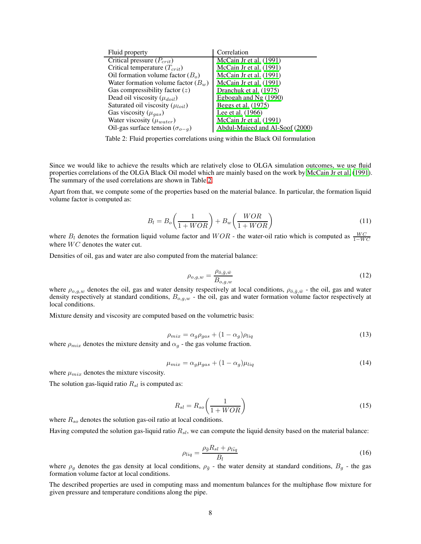<span id="page-7-0"></span>

| Fluid property                           | Correlation                     |
|------------------------------------------|---------------------------------|
| Critical pressure $(P_{crit})$           | McCain Jr et al. (1991)         |
| Critical temperature $(T_{crit})$        | McCain Jr et al. (1991)         |
| Oil formation volume factor $(Bo)$       | McCain Jr et al. (1991)         |
| Water formation volume factor $(B_w)$    | McCain Jr et al. (1991)         |
| Gas compressibility factor $(z)$         | Dranchuk et al. (1975)          |
| Dead oil viscosity $(\mu_{doil})$        | Egbogah and Ng (1990)           |
| Saturated oil viscosity $(\mu_{loil})$   | Beggs et al. (1975)             |
| Gas viscosity ( $\mu_{gas}$ )            | Lee et al. (1966)               |
| Water viscosity $(\mu_{water})$          | McCain Jr et al. (1991)         |
| Oil-gas surface tension $(\sigma_{o-q})$ | Abdul-Majeed and Al-Soof (2000) |

Table 2: Fluid properties correlations using within the Black Oil formulation

Since we would like to achieve the results which are relatively close to OLGA simulation outcomes, we use fluid properties correlations of the OLGA Black Oil model which are mainly based on the work by [McCain Jr et al. \(1991\)](#page-18-17). The summary of the used correlations are shown in Table [2.](#page-7-0)

Apart from that, we compute some of the properties based on the material balance. In particular, the formation liquid volume factor is computed as:

$$
B_l = B_o \left(\frac{1}{1 + WOR}\right) + B_w \left(\frac{WOR}{1 + WOR}\right) \tag{11}
$$

where  $B_l$  denotes the formation liquid volume factor and  $WOR$  - the water-oil ratio which is computed as  $\frac{WC}{1-WC}$ where  $WC$  denotes the water cut.

Densities of oil, gas and water are also computed from the material balance:

$$
\rho_{o,g,w} = \frac{\rho_{\bar{o},\bar{g},\bar{w}}}{B_{o,g,w}}
$$
\n(12)

where  $\rho_{o,g,w}$  denotes the oil, gas and water density respectively at local conditions,  $\rho_{\bar{o},\bar{g},\bar{w}}$  - the oil, gas and water density respectively at standard conditions,  $B_{o,g,w}$  - the oil, gas and water formation volume factor respectively at local conditions.

Mixture density and viscosity are computed based on the volumetric basis:

$$
\rho_{mix} = \alpha_g \rho_{gas} + (1 - \alpha_g) \rho_{liq} \tag{13}
$$

where  $\rho_{mix}$  denotes the mixture density and  $\alpha_g$  - the gas volume fraction.

$$
\mu_{mix} = \alpha_g \mu_{gas} + (1 - \alpha_g) \mu_{liq} \tag{14}
$$

where  $\mu_{mix}$  denotes the mixture viscosity.

The solution gas-liquid ratio  $R_{sl}$  is computed as:

$$
R_{sl} = R_{so} \left( \frac{1}{1 + WOR} \right) \tag{15}
$$

where  $R_{so}$  denotes the solution gas-oil ratio at local conditions.

Having computed the solution gas-liquid ratio  $R_{sl}$ , we can compute the liquid density based on the material balance:

$$
\rho_{liq} = \frac{\rho_{\bar{g}} R_{sl} + \rho_{l\bar{i}q}}{B_l} \tag{16}
$$

where  $\rho_g$  denotes the gas density at local conditions,  $\rho_{\bar{g}}$  - the water density at standard conditions,  $B_g$  - the gas formation volume factor at local conditions.

The described properties are used in computing mass and momentum balances for the multiphase flow mixture for given pressure and temperature conditions along the pipe.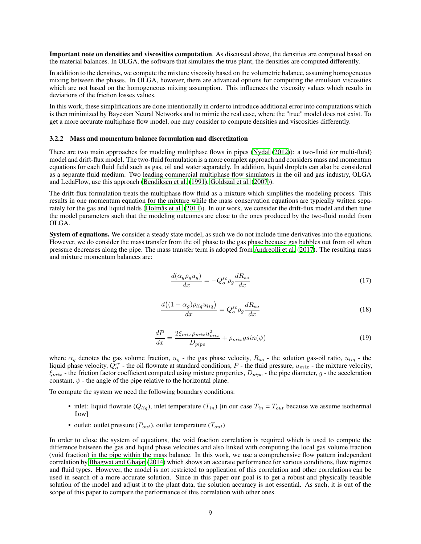Important note on densities and viscosities computation. As discussed above, the densities are computed based on the material balances. In OLGA, the software that simulates the true plant, the densities are computed differently.

In addition to the densities, we compute the mixture viscosity based on the volumetric balance, assuming homogeneous mixing between the phases. In OLGA, however, there are advanced options for computing the emulsion viscosities which are not based on the homogeneous mixing assumption. This influences the viscosity values which results in deviations of the friction losses values.

In this work, these simplifications are done intentionally in order to introduce additional error into computations which is then minimized by Bayesian Neural Networks and to mimic the real case, where the "true" model does not exist. To get a more accurate multiphase flow model, one may consider to compute densities and viscosities differently.

### 3.2.2 Mass and momentum balance formulation and discretization

There are two main approaches for modeling multiphase flows in pipes [\(Nydal \(2012\)](#page-18-21)): a two-fluid (or multi-fluid) model and drift-flux model. The two-fluid formulation is a more complex approach and considers mass and momentum equations for each fluid field such as gas, oil and water separately. In addition, liquid droplets can also be considered as a separate fluid medium. Two leading commercial multiphase flow simulators in the oil and gas industry, OLGA and LedaFlow, use this approach [\(Bendiksen et al. \(1991\)](#page-17-7), [Goldszal et al. \(2007\)](#page-18-22)).

The drift-flux formulation treats the multiphase flow fluid as a mixture which simplifies the modeling process. This results in one momentum equation for the mixture while the mass conservation equations are typically written separately for the gas and liquid fields [\(Holmås et al.](#page-18-23) [\(2011\)](#page-18-23)). In our work, we consider the drift-flux model and then tune the model parameters such that the modeling outcomes are close to the ones produced by the two-fluid model from OLGA.

<span id="page-8-1"></span><span id="page-8-0"></span>System of equations. We consider a steady state model, as such we do not include time derivatives into the equations. However, we do consider the mass transfer from the oil phase to the gas phase because gas bubbles out from oil when pressure decreases along the pipe. The mass transfer term is adopted from [Andreolli et al.](#page-17-10) [\(2017\)](#page-17-10). The resulting mass and mixture momentum balances are:

$$
\frac{d(\alpha_g \rho_g u_g)}{dx} = -Q_o^{sc} \rho_g \frac{dR_{so}}{dx}
$$
\n(17)

$$
\frac{d\left((1-\alpha_g)\rho_{liq}u_{liq}\right)}{dx} = Q_o^{sc}\rho_g \frac{dR_{so}}{dx}
$$
\n(18)

$$
\frac{dP}{dx} = \frac{2\xi_{mix}\rho_{mix}u_{mix}^2}{D_{pipe}} + \rho_{mix}g\sin(\psi)
$$
\n(19)

<span id="page-8-2"></span>where  $\alpha_g$  denotes the gas volume fraction,  $u_g$  - the gas phase velocity,  $R_{so}$  - the solution gas-oil ratio,  $u_{liq}$  - the liquid phase velocity,  $Q_o^{sc}$  - the oil flowrate at standard conditions, P - the fluid pressure,  $u_{mix}$  - the mixture velocity,  $\xi_{mix}$  - the friction factor coefficient computed using mixture properties,  $D_{pipe}$  - the pipe diameter, g - the acceleration constant,  $\psi$  - the angle of the pipe relative to the horizontal plane.

To compute the system we need the following boundary conditions:

- inlet: liquid flowrate  $(Q_{liq})$ , inlet temperature  $(T_{in})$  [in our case  $T_{in} = T_{out}$  because we assume isothermal flow]
- outlet: outlet pressure  $(P_{out})$ , outlet temperature  $(T_{out})$

In order to close the system of equations, the void fraction correlation is required which is used to compute the difference between the gas and liquid phase velocities and also linked with computing the local gas volume fraction (void fraction) in the pipe within the mass balance. In this work, we use a comprehensive flow pattern independent correlation by [Bhagwat and Ghajar \(2014\)](#page-17-11) which shows an accurate performance for various conditions, flow regimes and fluid types. However, the model is not restricted to application of this correlation and other correlations can be used in search of a more accurate solution. Since in this paper our goal is to get a robust and physically feasible solution of the model and adjust it to the plant data, the solution accuracy is not essential. As such, it is out of the scope of this paper to compare the performance of this correlation with other ones.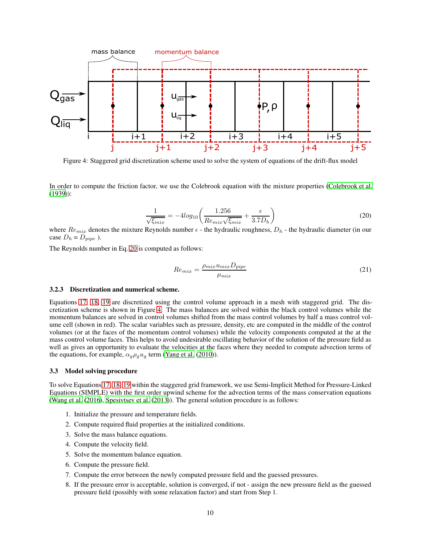<span id="page-9-1"></span>

Figure 4: Staggered grid discretization scheme used to solve the system of equations of the drift-flux model

<span id="page-9-0"></span>In order to compute the friction factor, we use the Colebrook equation with the mixture properties [\(Colebrook et al.](#page-17-12) [\(1939\)](#page-17-12)):

$$
\frac{1}{\sqrt{\xi_{mix}}} = -4\log_{10}\left(\frac{1.256}{Re_{mix}\sqrt{\xi_{mix}}} + \frac{\epsilon}{3.7D_h}\right) \tag{20}
$$

where  $Re_{mix}$  denotes the mixture Reynolds number  $\epsilon$  - the hydraulic roughness,  $D_h$  - the hydraulic diameter (in our case  $D_h = D_{pipe}$  ).

The Reynolds number in Eq. [20](#page-9-0) is computed as follows:

$$
Re_{mix} = \frac{\rho_{mix} u_{mix} D_{pipe}}{\mu_{mix}} \tag{21}
$$

### 3.2.3 Discretization and numerical scheme.

Equations [17,](#page-8-0) [18,](#page-8-1) [19](#page-8-2) are discretized using the control volume approach in a mesh with staggered grid. The discretization scheme is shown in Figure [4.](#page-9-1) The mass balances are solved within the black control volumes while the momentum balances are solved in control volumes shifted from the mass control volumes by half a mass control volume cell (shown in red). The scalar variables such as pressure, density, etc are computed in the middle of the control volumes (or at the faces of the momentum control volumes) while the velocity components computed at the at the mass control volume faces. This helps to avoid undesirable oscillating behavior of the solution of the pressure field as well as gives an opportunity to evaluate the velocities at the faces where they needed to compute advection terms of the equations, for example,  $\alpha_g \rho_g u_g$  term [\(Yang et al. \(2010\)](#page-19-6)).

### 3.3 Model solving procedure

To solve Equations [17,](#page-8-0) [18,](#page-8-1) [19](#page-8-2) within the staggered grid framework, we use Semi-Implicit Method for Pressure-Linked Equations (SIMPLE) with the first order upwind scheme for the advection terms of the mass conservation equations [\(Wang et al.](#page-19-2) [\(2016\)](#page-19-2), [Spesivtsev et al.](#page-19-3) [\(2013\)](#page-19-3)). The general solution procedure is as follows:

- 1. Initialize the pressure and temperature fields.
- 2. Compute required fluid properties at the initialized conditions.
- 3. Solve the mass balance equations.
- 4. Compute the velocity field.
- 5. Solve the momentum balance equation.
- 6. Compute the pressure field.
- 7. Compute the error between the newly computed pressure field and the guessed pressures.
- 8. If the pressure error is acceptable, solution is converged, if not assign the new pressure field as the guessed pressure field (possibly with some relaxation factor) and start from Step 1.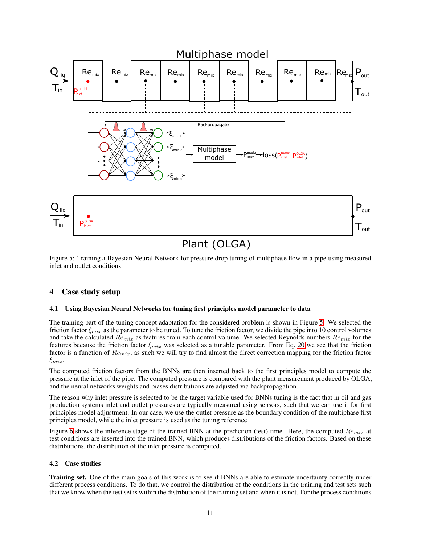<span id="page-10-0"></span>

# Plant (OLGA)

Figure 5: Training a Bayesian Neural Network for pressure drop tuning of multiphase flow in a pipe using measured inlet and outlet conditions

## 4 Case study setup

## 4.1 Using Bayesian Neural Networks for tuning first principles model parameter to data

The training part of the tuning concept adaptation for the considered problem is shown in Figure [5.](#page-10-0) We selected the friction factor  $\xi_{mix}$  as the parameter to be tuned. To tune the friction factor, we divide the pipe into 10 control volumes and take the calculated  $Re_{mix}$  as features from each control volume. We selected Reynolds numbers  $Re_{mix}$  for the features because the friction factor  $\xi_{mix}$  was selected as a tunable parameter. From Eq. [20](#page-9-0) we see that the friction factor is a function of  $Re_{mix}$ , as such we will try to find almost the direct correction mapping for the friction factor  $\xi_{mix}$ .

The computed friction factors from the BNNs are then inserted back to the first principles model to compute the pressure at the inlet of the pipe. The computed pressure is compared with the plant measurement produced by OLGA, and the neural networks weights and biases distributions are adjusted via backpropagation.

The reason why inlet pressure is selected to be the target variable used for BNNs tuning is the fact that in oil and gas production systems inlet and outlet pressures are typically measured using sensors, such that we can use it for first principles model adjustment. In our case, we use the outlet pressure as the boundary condition of the multiphase first principles model, while the inlet pressure is used as the tuning reference.

Figure [6](#page-11-0) shows the inference stage of the trained BNN at the prediction (test) time. Here, the computed  $Re_{mix}$  at test conditions are inserted into the trained BNN, which produces distributions of the friction factors. Based on these distributions, the distribution of the inlet pressure is computed.

## 4.2 Case studies

Training set. One of the main goals of this work is to see if BNNs are able to estimate uncertainty correctly under different process conditions. To do that, we control the distribution of the conditions in the training and test sets such that we know when the test set is within the distribution of the training set and when it is not. For the process conditions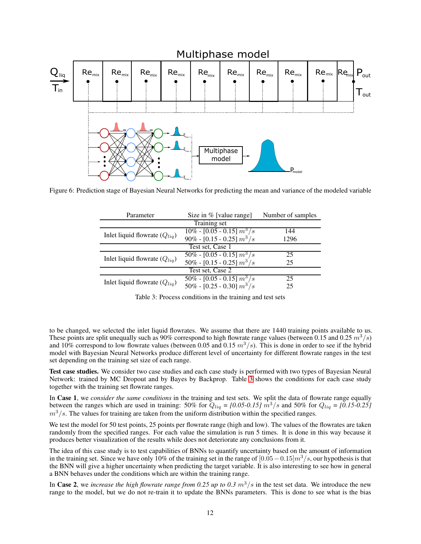<span id="page-11-0"></span>

<span id="page-11-1"></span>Figure 6: Prediction stage of Bayesian Neural Networks for predicting the mean and variance of the modeled variable

| Parameter                         | Size in $%$ [value range]      | Number of samples |  |
|-----------------------------------|--------------------------------|-------------------|--|
| <b>Training set</b>               |                                |                   |  |
| Inlet liquid flowrate $(Q_{liq})$ | $10\%$ - [0.05 - 0.15] $m^3/s$ | 144               |  |
|                                   | 90% - [0.15 - 0.25] $m^3/s$    | 1296              |  |
| Test set, Case 1                  |                                |                   |  |
| Inlet liquid flowrate $(Q_{liq})$ | $50\% - [0.05 - 0.15] m^3/s$   | 25                |  |
|                                   | 50% - [0.15 - 0.25] $m^3/s$    | 25                |  |
| Test set, Case 2                  |                                |                   |  |
| Inlet liquid flowrate $(Q_{liq})$ | $50\% - [0.05 - 0.15] m^3/s$   | 25                |  |
|                                   | 50% - [0.25 - 0.30] $m^3/s$    | 25                |  |

Table 3: Process conditions in the training and test sets

to be changed, we selected the inlet liquid flowrates. We assume that there are 1440 training points available to us. These points are split unequally such as 90% correspond to high flowrate range values (between 0.15 and 0.25  $m^3/s$ ) and 10% correspond to low flowrate values (between 0.05 and 0.15  $m^3/s$ ). This is done in order to see if the hybrid model with Bayesian Neural Networks produce different level of uncertainty for different flowrate ranges in the test set depending on the training set size of each range.

Test case studies. We consider two case studies and each case study is performed with two types of Bayesian Neural Network: trained by MC Dropout and by Bayes by Backprop. Table [3](#page-11-1) shows the conditions for each case study together with the training set flowrate ranges.

In Case 1, we *consider the same conditions* in the training and test sets. We split the data of flowrate range equally between the ranges which are used in training: 50% for  $Q_{liq} = [0.05 \cdot 0.15]$   $m^3/s$  and 50% for  $Q_{liq} = [0.15 \cdot 0.25]$  $m<sup>3</sup>/s$ . The values for training are taken from the uniform distribution within the specified ranges.

We test the model for 50 test points, 25 points per flowrate range (high and low). The values of the flowrates are taken randomly from the specified ranges. For each value the simulation is run 5 times. It is done in this way because it produces better visualization of the results while does not deteriorate any conclusions from it.

The idea of this case study is to test capabilities of BNNs to quantify uncertainty based on the amount of information in the training set. Since we have only 10% of the training set in the range of  $[0.05-0.15]m^3/s$ , our hypothesis is that the BNN will give a higher uncertainty when predicting the target variable. It is also interesting to see how in general a BNN behaves under the conditions which are within the training range.

In Case 2, we *increase the high flowrate range from 0.25 up to 0.3*  $m^3/s$  in the test set data. We introduce the new range to the model, but we do not re-train it to update the BNNs parameters. This is done to see what is the bias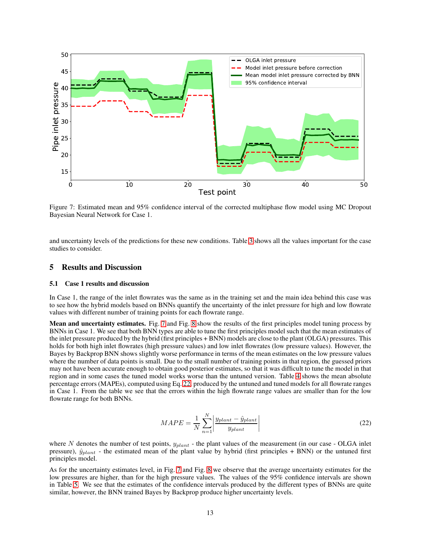<span id="page-12-1"></span>

Figure 7: Estimated mean and 95% confidence interval of the corrected multiphase flow model using MC Dropout Bayesian Neural Network for Case 1.

and uncertainty levels of the predictions for these new conditions. Table [3](#page-11-1) shows all the values important for the case studies to consider.

### <span id="page-12-0"></span>5 Results and Discussion

### 5.1 Case 1 results and discussion

In Case 1, the range of the inlet flowrates was the same as in the training set and the main idea behind this case was to see how the hybrid models based on BNNs quantify the uncertainty of the inlet pressure for high and low flowrate values with different number of training points for each flowrate range.

Mean and uncertainty estimates. Fig. [7](#page-12-1) and Fig. [8](#page-13-0) show the results of the first principles model tuning process by BNNs in Case 1. We see that both BNN types are able to tune the first principles model such that the mean estimates of the inlet pressure produced by the hybrid (first principles + BNN) models are close to the plant (OLGA) pressures. This holds for both high inlet flowrates (high pressure values) and low inlet flowrates (low pressure values). However, the Bayes by Backprop BNN shows slightly worse performance in terms of the mean estimates on the low pressure values where the number of data points is small. Due to the small number of training points in that region, the guessed priors may not have been accurate enough to obtain good posterior estimates, so that it was difficult to tune the model in that region and in some cases the tuned model works worse than the untuned version. Table [4](#page-13-1) shows the mean absolute percentage errors (MAPEs), computed using Eq. [22,](#page-12-2) produced by the untuned and tuned models for all flowrate ranges in Case 1. From the table we see that the errors within the high flowrate range values are smaller than for the low flowrate range for both BNNs.

$$
MAPE = \frac{1}{N} \sum_{n=1}^{N} \left| \frac{y_{plant} - \hat{y}_{plant}}{y_{plant}} \right|
$$
\n(22)

<span id="page-12-2"></span>where N denotes the number of test points,  $y_{plant}$  - the plant values of the measurement (in our case - OLGA inlet pressure),  $\hat{y}_{plant}$  - the estimated mean of the plant value by hybrid (first principles + BNN) or the untuned first principles model.

As for the uncertainty estimates level, in Fig. [7](#page-12-1) and Fig. [8](#page-13-0) we observe that the average uncertainty estimates for the low pressures are higher, than for the high pressure values. The values of the 95% confidence intervals are shown in Table [5.](#page-13-2) We see that the estimates of the confidence intervals produced by the different types of BNNs are quite similar, however, the BNN trained Bayes by Backprop produce higher uncertainty levels.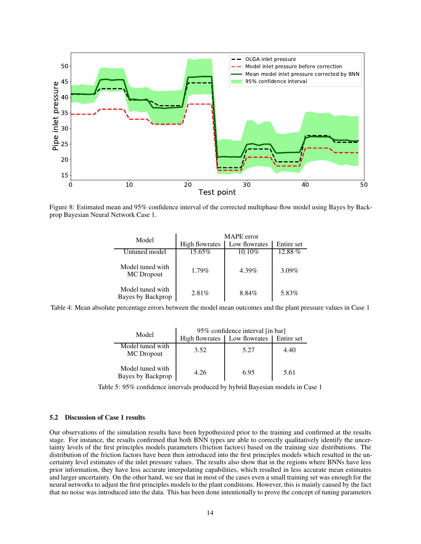<span id="page-13-0"></span>

<span id="page-13-1"></span>Figure 8: Estimated mean and 95% confidence interval of the corrected multiphase flow model using Bayes by Backprop Bayesian Neural Network Case 1.

| Model                                 | MAPE error |               |            |
|---------------------------------------|------------|---------------|------------|
| <b>High flowrates</b>                 |            | Low flowrates | Entire set |
| Untuned model                         | 15.65%     | $10.10\%$     | $12.88\%$  |
| Model tuned with<br>MC Dropout        | $1.79\%$   | 4.39%         | $3.09\%$   |
| Model tuned with<br>Bayes by Backprop | $2.81\%$   | 8.84%         | 5.83%      |

<span id="page-13-2"></span>Table 4: Mean absolute percentage errors between the model mean outcomes and the plant pressure values in Case 1

| Model                                 | 95% confidence interval [in bar] |               |            |
|---------------------------------------|----------------------------------|---------------|------------|
|                                       | <b>High flowrates</b>            | Low flowrates | Entire set |
| Model tuned with<br>MC Dropout        | 3.52                             | 5.27          | 4.40       |
| Model tuned with<br>Bayes by Backprop | 4.26                             | 6.95          | 5.61       |

Table 5: 95% confidence intervals produced by hybrid Bayesian models in Case 1

## 5.2 Discussion of Case 1 results

Our observations of the simulation results have been hypothesized prior to the training and confirmed at the results stage. For instance, the results confirmed that both BNN types are able to correctly qualitatively identify the uncertainty levels of the first principles models parameters (friction factors) based on the training size distributions. The distribution of the friction factors have been then introduced into the first principles models which resulted in the uncertainty level estimates of the inlet pressure values. The results also show that in the regions where BNNs have less prior information, they have less accurate interpolating capabilities, which resulted in less accurate mean estimates and larger uncertainty. On the other hand, we see that in most of the cases even a small training set was enough for the neural networks to adjust the first principles models to the plant conditions. However, this is mainly caused by the fact that no noise was introduced into the data. This has been done intentionally to prove the concept of tuning parameters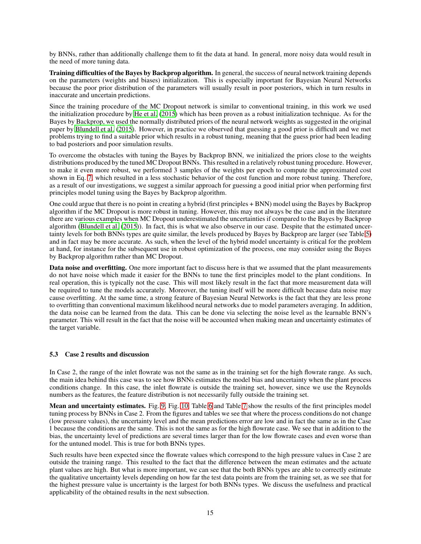by BNNs, rather than additionally challenge them to fit the data at hand. In general, more noisy data would result in the need of more tuning data.

Training difficulties of the Bayes by Backprop algorithm. In general, the success of neural network training depends on the parameters (weights and biases) initialization. This is especially important for Bayesian Neural Networks because the poor prior distribution of the parameters will usually result in poor posteriors, which in turn results in inaccurate and uncertain predictions.

Since the training procedure of the MC Dropout network is similar to conventional training, in this work we used the initialization procedure by [He et al. \(2015\)](#page-18-24) which has been proven as a robust initialization technique. As for the Bayes by Backprop, we used the normally distributed priors of the neural network weights as suggested in the original paper by [Blundell et al. \(2015](#page-17-5)). However, in practice we observed that guessing a good prior is difficult and we met problems trying to find a suitable prior which results in a robust tuning, meaning that the guess prior had been leading to bad posteriors and poor simulation results.

To overcome the obstacles with tuning the Bayes by Backprop BNN, we initialized the priors close to the weights distributions produced by the tuned MC Dropout BNNs. This resulted in a relatively robust tuning procedure. However, to make it even more robust, we performed 3 samples of the weights per epoch to compute the approximated cost shown in Eq. [7,](#page-4-4) which resulted in a less stochastic behavior of the cost function and more robust tuning. Therefore, as a result of our investigations, we suggest a similar approach for guessing a good initial prior when performing first principles model tuning using the Bayes by Backprop algorithm.

One could argue that there is no point in creating a hybrid (first principles + BNN) model using the Bayes by Backprop algorithm if the MC Dropout is more robust in tuning. However, this may not always be the case and in the literature there are various examples when MC Dropout underestimated the uncertainties if compared to the Bayes by Backprop algorithm [\(Blundell et al. \(2015](#page-17-5))). In fact, this is what we also observe in our case. Despite that the estimated uncertainty levels for both BNNs types are quite similar, the levels produced by Bayes by Backprop are larger (see Table [5\)](#page-13-2) and in fact may be more accurate. As such, when the level of the hybrid model uncertainty is critical for the problem at hand, for instance for the subsequent use in robust optimization of the process, one may consider using the Bayes by Backprop algorithm rather than MC Dropout.

Data noise and overfitting. One more important fact to discuss here is that we assumed that the plant measurements do not have noise which made it easier for the BNNs to tune the first principles model to the plant conditions. In real operation, this is typically not the case. This will most likely result in the fact that more measurement data will be required to tune the models accurately. Moreover, the tuning itself will be more difficult because data noise may cause overfitting. At the same time, a strong feature of Bayesian Neural Networks is the fact that they are less prone to overfitting than conventional maximum likelihood neural networks due to model parameters averaging. In addition, the data noise can be learned from the data. This can be done via selecting the noise level as the learnable BNN's parameter. This will result in the fact that the noise will be accounted when making mean and uncertainty estimates of the target variable.

## 5.3 Case 2 results and discussion

In Case 2, the range of the inlet flowrate was not the same as in the training set for the high flowrate range. As such, the main idea behind this case was to see how BNNs estimates the model bias and uncertainty when the plant process conditions change. In this case, the inlet flowrate is outside the training set, however, since we use the Reynolds numbers as the features, the feature distribution is not necessarily fully outside the training set.

Mean and uncertainty estimates. Fig. [9,](#page-15-0) Fig. [10,](#page-15-1) Table [6](#page-16-1) and Table [7](#page-16-2) show the results of the first principles model tuning process by BNNs in Case 2. From the figures and tables we see that where the process conditions do not change (low pressure values), the uncertainty level and the mean predictions error are low and in fact the same as in the Case 1 because the conditions are the same. This is not the same as for the high flowrate case. We see that in addition to the bias, the uncertainty level of predictions are several times larger than for the low flowrate cases and even worse than for the untuned model. This is true for both BNNs types.

Such results have been expected since the flowrate values which correspond to the high pressure values in Case 2 are outside the training range. This resulted to the fact that the difference between the mean estimates and the actuate plant values are high. But what is more important, we can see that the both BNNs types are able to correctly estimate the qualitative uncertainty levels depending on how far the test data points are from the training set, as we see that for the highest pressure value is uncertainty is the largest for both BNNs types. We discuss the usefulness and practical applicability of the obtained results in the next subsection.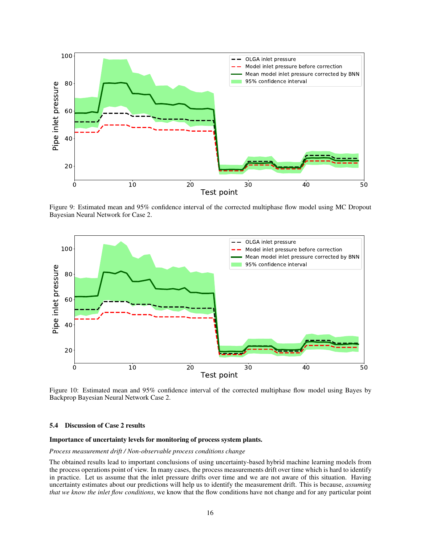<span id="page-15-0"></span>

Figure 9: Estimated mean and 95% confidence interval of the corrected multiphase flow model using MC Dropout Bayesian Neural Network for Case 2.

<span id="page-15-1"></span>

Figure 10: Estimated mean and 95% confidence interval of the corrected multiphase flow model using Bayes by Backprop Bayesian Neural Network Case 2.

### 5.4 Discussion of Case 2 results

### Importance of uncertainty levels for monitoring of process system plants.

### *Process measurement drift / Non-observable process conditions change*

The obtained results lead to important conclusions of using uncertainty-based hybrid machine learning models from the process operations point of view. In many cases, the process measurements drift over time which is hard to identify in practice. Let us assume that the inlet pressure drifts over time and we are not aware of this situation. Having uncertainty estimates about our predictions will help us to identify the measurement drift. This is because, *assuming that we know the inlet flow conditions*, we know that the flow conditions have not change and for any particular point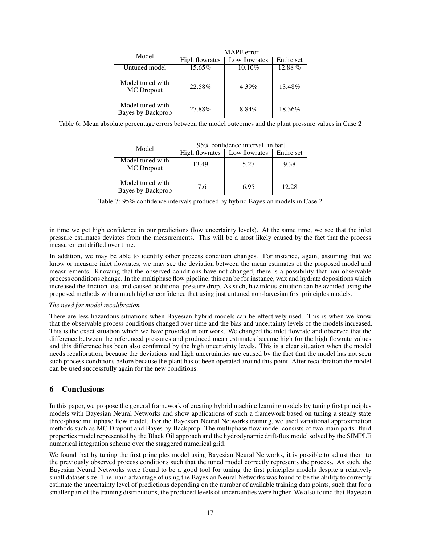<span id="page-16-1"></span>

| Model                                 | MAPE error |               |            |
|---------------------------------------|------------|---------------|------------|
| High flowrates                        |            | Low flowrates | Entire set |
| Untuned model                         | 15.65%     | $10.10\%$     | $12.88\%$  |
| Model tuned with<br>MC Dropout        | 22.58%     | 4.39%         | 13.48%     |
| Model tuned with<br>Bayes by Backprop | 27.88%     | 8.84%         | 18.36%     |

<span id="page-16-2"></span>Table 6: Mean absolute percentage errors between the model outcomes and the plant pressure values in Case 2

|                                       | 95% confidence interval [in bar] |               |                   |
|---------------------------------------|----------------------------------|---------------|-------------------|
| Model                                 | <b>High flowrates</b>            | Low flowrates | <b>Entire set</b> |
| Model tuned with<br><b>MC</b> Dropout | 13.49                            | 5.27          | 9.38              |
| Model tuned with<br>Bayes by Backprop | 17.6                             | 6.95          | 12.28             |

Table 7: 95% confidence intervals produced by hybrid Bayesian models in Case 2

in time we get high confidence in our predictions (low uncertainty levels). At the same time, we see that the inlet pressure estimates deviates from the measurements. This will be a most likely caused by the fact that the process measurement drifted over time.

In addition, we may be able to identify other process condition changes. For instance, again, assuming that we know or measure inlet flowrates, we may see the deviation between the mean estimates of the proposed model and measurements. Knowing that the observed conditions have not changed, there is a possibility that non-observable process conditions change. In the multiphase flow pipeline, this can be for instance, wax and hydrate depositions which increased the friction loss and caused additional pressure drop. As such, hazardous situation can be avoided using the proposed methods with a much higher confidence that using just untuned non-bayesian first principles models.

## *The need for model recalibration*

There are less hazardous situations when Bayesian hybrid models can be effectively used. This is when we know that the observable process conditions changed over time and the bias and uncertainty levels of the models increased. This is the exact situation which we have provided in our work. We changed the inlet flowrate and observed that the difference between the referenced pressures and produced mean estimates became high for the high flowrate values and this difference has been also confirmed by the high uncertainty levels. This is a clear situation when the model needs recalibration, because the deviations and high uncertainties are caused by the fact that the model has not seen such process conditions before because the plant has ot been operated around this point. After recalibration the model can be used successfully again for the new conditions.

## <span id="page-16-0"></span>6 Conclusions

In this paper, we propose the general framework of creating hybrid machine learning models by tuning first principles models with Bayesian Neural Networks and show applications of such a framework based on tuning a steady state three-phase multiphase flow model. For the Bayesian Neural Networks training, we used variational approximation methods such as MC Dropout and Bayes by Backprop. The multiphase flow model consists of two main parts: fluid properties model represented by the Black Oil approach and the hydrodynamic drift-flux model solved by the SIMPLE numerical integration scheme over the staggered numerical grid.

We found that by tuning the first principles model using Bayesian Neural Networks, it is possible to adjust them to the previously observed process conditions such that the tuned model correctly represents the process. As such, the Bayesian Neural Networks were found to be a good tool for tuning the first principles models despite a relatively small dataset size. The main advantage of using the Bayesian Neural Networks was found to be the ability to correctly estimate the uncertainty level of predictions depending on the number of available training data points, such that for a smaller part of the training distributions, the produced levels of uncertainties were higher. We also found that Bayesian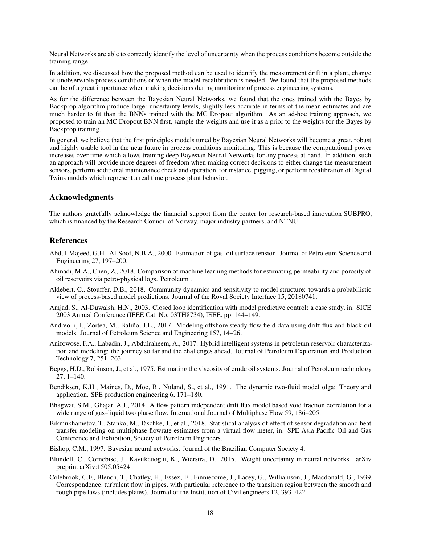Neural Networks are able to correctly identify the level of uncertainty when the process conditions become outside the training range.

In addition, we discussed how the proposed method can be used to identify the measurement drift in a plant, change of unobservable process conditions or when the model recalibration is needed. We found that the proposed methods can be of a great importance when making decisions during monitoring of process engineering systems.

As for the difference between the Bayesian Neural Networks, we found that the ones trained with the Bayes by Backprop algorithm produce larger uncertainty levels, slightly less accurate in terms of the mean estimates and are much harder to fit than the BNNs trained with the MC Dropout algorithm. As an ad-hoc training approach, we proposed to train an MC Dropout BNN first, sample the weights and use it as a prior to the weights for the Bayes by Backprop training.

In general, we believe that the first principles models tuned by Bayesian Neural Networks will become a great, robust and highly usable tool in the near future in process conditions monitoring. This is because the computational power increases over time which allows training deep Bayesian Neural Networks for any process at hand. In addition, such an approach will provide more degrees of freedom when making correct decisions to either change the measurement sensors, perform additional maintenance check and operation, for instance, pigging, or perform recalibration of Digital Twins models which represent a real time process plant behavior.

## Acknowledgments

The authors gratefully acknowledge the financial support from the center for research-based innovation SUBPRO, which is financed by the Research Council of Norway, major industry partners, and NTNU.

## **References**

- <span id="page-17-9"></span>Abdul-Majeed, G.H., Al-Soof, N.B.A., 2000. Estimation of gas–oil surface tension. Journal of Petroleum Science and Engineering 27, 197–200.
- <span id="page-17-3"></span>Ahmadi, M.A., Chen, Z., 2018. Comparison of machine learning methods for estimating permeability and porosity of oil reservoirs via petro-physical logs. Petroleum .
- <span id="page-17-2"></span>Aldebert, C., Stouffer, D.B., 2018. Community dynamics and sensitivity to model structure: towards a probabilistic view of process-based model predictions. Journal of the Royal Society Interface 15, 20180741.
- <span id="page-17-1"></span>Amjad, S., Al-Duwaish, H.N., 2003. Closed loop identification with model predictive control: a case study, in: SICE 2003 Annual Conference (IEEE Cat. No. 03TH8734), IEEE. pp. 144–149.
- <span id="page-17-10"></span>Andreolli, I., Zortea, M., Baliño, J.L., 2017. Modeling offshore steady flow field data using drift-flux and black-oil models. Journal of Petroleum Science and Engineering 157, 14–26.
- <span id="page-17-4"></span>Anifowose, F.A., Labadin, J., Abdulraheem, A., 2017. Hybrid intelligent systems in petroleum reservoir characterization and modeling: the journey so far and the challenges ahead. Journal of Petroleum Exploration and Production Technology 7, 251–263.
- <span id="page-17-8"></span>Beggs, H.D., Robinson, J., et al., 1975. Estimating the viscosity of crude oil systems. Journal of Petroleum technology 27, 1–140.
- <span id="page-17-7"></span>Bendiksen, K.H., Maines, D., Moe, R., Nuland, S., et al., 1991. The dynamic two-fluid model olga: Theory and application. SPE production engineering 6, 171–180.
- <span id="page-17-11"></span>Bhagwat, S.M., Ghajar, A.J., 2014. A flow pattern independent drift flux model based void fraction correlation for a wide range of gas–liquid two phase flow. International Journal of Multiphase Flow 59, 186–205.
- <span id="page-17-0"></span>Bikmukhametov, T., Stanko, M., Jäschke, J., et al., 2018. Statistical analysis of effect of sensor degradation and heat transfer modeling on multiphase flowrate estimates from a virtual flow meter, in: SPE Asia Pacific Oil and Gas Conference and Exhibition, Society of Petroleum Engineers.
- <span id="page-17-6"></span>Bishop, C.M., 1997. Bayesian neural networks. Journal of the Brazilian Computer Society 4.
- <span id="page-17-5"></span>Blundell, C., Cornebise, J., Kavukcuoglu, K., Wierstra, D., 2015. Weight uncertainty in neural networks. arXiv preprint arXiv:1505.05424 .
- <span id="page-17-12"></span>Colebrook, C.F., Blench, T., Chatley, H., Essex, E., Finniecome, J., Lacey, G., Williamson, J., Macdonald, G., 1939. Correspondence. turbulent flow in pipes, with particular reference to the transition region between the smooth and rough pipe laws.(includes plates). Journal of the Institution of Civil engineers 12, 393–422.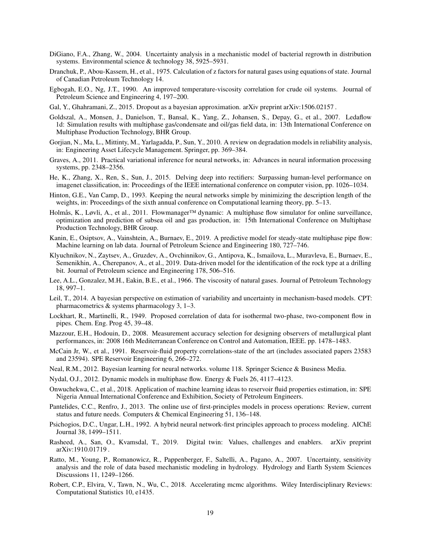- <span id="page-18-5"></span>DiGiano, F.A., Zhang, W., 2004. Uncertainty analysis in a mechanistic model of bacterial regrowth in distribution systems. Environmental science & technology 38, 5925–5931.
- <span id="page-18-18"></span>Dranchuk, P., Abou-Kassem, H., et al., 1975. Calculation of z factors for natural gases using equations of state. Journal of Canadian Petroleum Technology 14.
- <span id="page-18-19"></span>Egbogah, E.O., Ng, J.T., 1990. An improved temperature-viscosity correlation for crude oil systems. Journal of Petroleum Science and Engineering 4, 197–200.
- <span id="page-18-12"></span>Gal, Y., Ghahramani, Z., 2015. Dropout as a bayesian approximation. arXiv preprint arXiv:1506.02157.
- <span id="page-18-22"></span>Goldszal, A., Monsen, J., Danielson, T., Bansal, K., Yang, Z., Johansen, S., Depay, G., et al., 2007. Ledaflow 1d: Simulation results with multiphase gas/condensate and oil/gas field data, in: 13th International Conference on Multiphase Production Technology, BHR Group.
- <span id="page-18-3"></span>Gorjian, N., Ma, L., Mittinty, M., Yarlagadda, P., Sun, Y., 2010. A review on degradation models in reliability analysis, in: Engineering Asset Lifecycle Management. Springer, pp. 369–384.
- <span id="page-18-15"></span>Graves, A., 2011. Practical variational inference for neural networks, in: Advances in neural information processing systems, pp. 2348–2356.
- <span id="page-18-24"></span>He, K., Zhang, X., Ren, S., Sun, J., 2015. Delving deep into rectifiers: Surpassing human-level performance on imagenet classification, in: Proceedings of the IEEE international conference on computer vision, pp. 1026–1034.
- <span id="page-18-14"></span>Hinton, G.E., Van Camp, D., 1993. Keeping the neural networks simple by minimizing the description length of the weights, in: Proceedings of the sixth annual conference on Computational learning theory, pp. 5–13.
- <span id="page-18-23"></span>Holmås, K., Løvli, A., et al., 2011. Flowmanager™ dynamic: A multiphase flow simulator for online surveillance, optimization and prediction of subsea oil and gas production, in: 15th International Conference on Multiphase Production Technology, BHR Group.
- <span id="page-18-11"></span>Kanin, E., Osiptsov, A., Vainshtein, A., Burnaev, E., 2019. A predictive model for steady-state multiphase pipe flow: Machine learning on lab data. Journal of Petroleum Science and Engineering 180, 727–746.
- <span id="page-18-9"></span>Klyuchnikov, N., Zaytsev, A., Gruzdev, A., Ovchinnikov, G., Antipova, K., Ismailova, L., Muravleva, E., Burnaev, E., Semenikhin, A., Cherepanov, A., et al., 2019. Data-driven model for the identification of the rock type at a drilling bit. Journal of Petroleum science and Engineering 178, 506–516.
- <span id="page-18-20"></span>Lee, A.L., Gonzalez, M.H., Eakin, B.E., et al., 1966. The viscosity of natural gases. Journal of Petroleum Technology 18, 997–1.
- <span id="page-18-6"></span>Leil, T., 2014. A bayesian perspective on estimation of variability and uncertainty in mechanism-based models. CPT: pharmacometrics & systems pharmacology 3, 1–3.
- <span id="page-18-16"></span>Lockhart, R., Martinelli, R., 1949. Proposed correlation of data for isothermal two-phase, two-component flow in pipes. Chem. Eng. Prog 45, 39–48.
- <span id="page-18-2"></span>Mazzour, E.H., Hodouin, D., 2008. Measurement accuracy selection for designing observers of metallurgical plant performances, in: 2008 16th Mediterranean Conference on Control and Automation, IEEE. pp. 1478–1483.
- <span id="page-18-17"></span>McCain Jr, W., et al., 1991. Reservoir-fluid property correlations-state of the art (includes associated papers 23583 and 23594). SPE Reservoir Engineering 6, 266–272.
- <span id="page-18-13"></span>Neal, R.M., 2012. Bayesian learning for neural networks. volume 118. Springer Science & Business Media.
- <span id="page-18-21"></span>Nydal, O.J., 2012. Dynamic models in multiphase flow. Energy & Fuels 26, 4117–4123.
- <span id="page-18-10"></span>Onwuchekwa, C., et al., 2018. Application of machine learning ideas to reservoir fluid properties estimation, in: SPE Nigeria Annual International Conference and Exhibition, Society of Petroleum Engineers.
- <span id="page-18-0"></span>Pantelides, C.C., Renfro, J., 2013. The online use of first-principles models in process operations: Review, current status and future needs. Computers & Chemical Engineering 51, 136–148.
- <span id="page-18-8"></span>Psichogios, D.C., Ungar, L.H., 1992. A hybrid neural network-first principles approach to process modeling. AIChE Journal 38, 1499–1511.
- <span id="page-18-1"></span>Rasheed, A., San, O., Kvamsdal, T., 2019. Digital twin: Values, challenges and enablers. arXiv preprint arXiv:1910.01719 .
- <span id="page-18-4"></span>Ratto, M., Young, P., Romanowicz, R., Pappenberger, F., Saltelli, A., Pagano, A., 2007. Uncertainty, sensitivity analysis and the role of data based mechanistic modeling in hydrology. Hydrology and Earth System Sciences Discussions 11, 1249–1266.
- <span id="page-18-7"></span>Robert, C.P., Elvira, V., Tawn, N., Wu, C., 2018. Accelerating mcmc algorithms. Wiley Interdisciplinary Reviews: Computational Statistics 10, e1435.